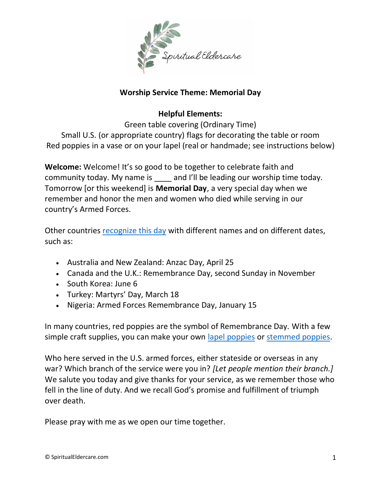

## **Worship Service Theme: Memorial Day**

## **Helpful Elements:**

Green table covering (Ordinary Time) Small U.S. (or appropriate country) flags for decorating the table or room Red poppies in a vase or on your lapel (real or handmade; see instructions below)

**Welcome:** Welcome! It's so good to be together to celebrate faith and community today. My name is and I'll be leading our worship time today. Tomorrow [or this weekend] is **Memorial Day**, a very special day when we remember and honor the men and women who died while serving in our country's Armed Forces.

Other countries [recognize this day](https://time.com/110935/memorial-day-other-countries/) with different names and on different dates, such as:

- Australia and New Zealand: Anzac Day, April 25
- Canada and the U.K.: Remembrance Day, second Sunday in November
- South Korea: June 6
- Turkey: Martyrs' Day, March 18
- Nigeria: Armed Forces Remembrance Day, January 15

In many countries, red poppies are the symbol of Remembrance Day. With a few simple craft supplies, you can make your own [lapel poppies](https://www.youtube.com/watch?v=SUi5rqMD7mc) or [stemmed poppies.](https://www.youtube.com/watch?v=Qe0uqc6ImgQ)

Who here served in the U.S. armed forces, either stateside or overseas in any war? Which branch of the service were you in? *[Let people mention their branch.]* We salute you today and give thanks for your service, as we remember those who fell in the line of duty. And we recall God's promise and fulfillment of triumph over death.

Please pray with me as we open our time together.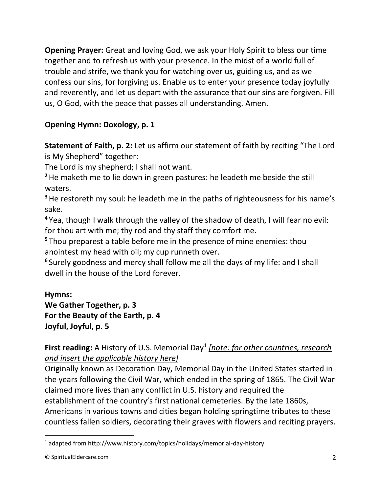**Opening Prayer:** Great and loving God, we ask your Holy Spirit to bless our time together and to refresh us with your presence. In the midst of a world full of trouble and strife, we thank you for watching over us, guiding us, and as we confess our sins, for forgiving us. Enable us to enter your presence today joyfully and reverently, and let us depart with the assurance that our sins are forgiven. Fill us, O God, with the peace that passes all understanding. Amen.

# **Opening Hymn: Doxology, p. 1**

**Statement of Faith, p. 2:** Let us affirm our statement of faith by reciting "The Lord is My Shepherd" together:

The Lord is my shepherd; I shall not want.

**<sup>2</sup>**He maketh me to lie down in green pastures: he leadeth me beside the still waters.

<sup>3</sup> He restoreth my soul: he leadeth me in the paths of righteousness for his name's sake.

**<sup>4</sup>** Yea, though I walk through the valley of the shadow of death, I will fear no evil: for thou art with me; thy rod and thy staff they comfort me.

**<sup>5</sup>** Thou preparest a table before me in the presence of mine enemies: thou anointest my head with oil; my cup runneth over.

**6** Surely goodness and mercy shall follow me all the days of my life: and I shall dwell in the house of the Lord forever.

## **Hymns:**

# **We Gather Together, p. 3 For the Beauty of the Earth, p. 4 Joyful, Joyful, p. 5**

## First reading: A History of U.S. Memorial Day<sup>1</sup> [note: for other countries, research *and insert the applicable history here]*

Originally known as Decoration Day, Memorial Day in the United States started in the years following the Civil War, which ended in the spring of 1865. The Civil War claimed more lives than any conflict in U.S. history and required the establishment of the country's first national cemeteries. By the late 1860s, Americans in various towns and cities began holding springtime tributes to these countless fallen soldiers, decorating their graves with flowers and reciting prayers.

<sup>1</sup> adapted from http://www.history.com/topics/holidays/memorial-day-history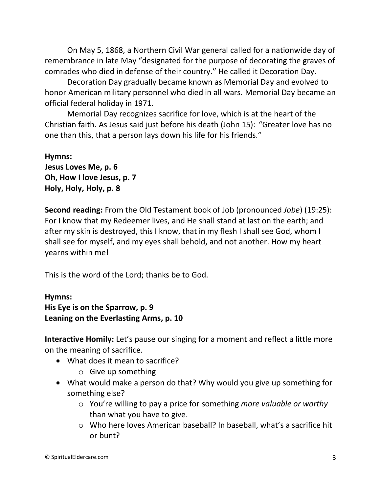On May 5, 1868, a Northern Civil War general called for a nationwide day of remembrance in late May "designated for the purpose of decorating the graves of comrades who died in defense of their country." He called it Decoration Day.

Decoration Day gradually became known as Memorial Day and evolved to honor American military personnel who died in all wars. Memorial Day became an official federal holiday in 1971.

Memorial Day recognizes sacrifice for love, which is at the heart of the Christian faith. As Jesus said just before his death (John 15): "Greater love has no one than this, that a person lays down his life for his friends."

**Hymns: Jesus Loves Me, p. 6 Oh, How I love Jesus, p. 7 Holy, Holy, Holy, p. 8**

**Second reading:** From the Old Testament book of Job (pronounced *Jobe*) (19:25): For I know that my Redeemer lives, and He shall stand at last on the earth; and after my skin is destroyed, this I know, that in my flesh I shall see God, whom I shall see for myself, and my eyes shall behold, and not another. How my heart yearns within me!

This is the word of the Lord; thanks be to God.

#### **Hymns:**

**His Eye is on the Sparrow, p. 9 Leaning on the Everlasting Arms, p. 10**

**Interactive Homily:** Let's pause our singing for a moment and reflect a little more on the meaning of sacrifice.

- What does it mean to sacrifice?
	- o Give up something
- What would make a person do that? Why would you give up something for something else?
	- o You're willing to pay a price for something *more valuable or worthy* than what you have to give.
	- o Who here loves American baseball? In baseball, what's a sacrifice hit or bunt?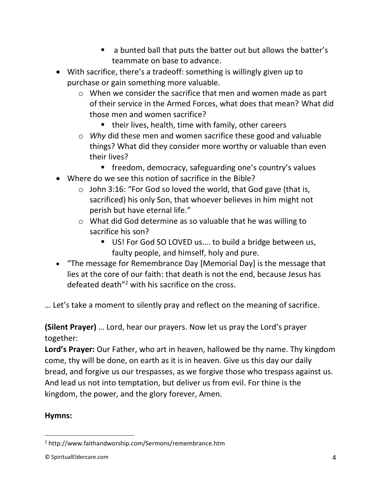- a bunted ball that puts the batter out but allows the batter's teammate on base to advance.
- With sacrifice, there's a tradeoff: something is willingly given up to purchase or gain something more valuable.
	- o When we consider the sacrifice that men and women made as part of their service in the Armed Forces, what does that mean? What did those men and women sacrifice?
		- their lives, health, time with family, other careers
	- o *Why* did these men and women sacrifice these good and valuable things? What did they consider more worthy or valuable than even their lives?
		- freedom, democracy, safeguarding one's country's values
- Where do we see this notion of sacrifice in the Bible?
	- $\circ$  John 3:16: "For God so loved the world, that God gave (that is, sacrificed) his only Son, that whoever believes in him might not perish but have eternal life."
	- o What did God determine as so valuable that he was willing to sacrifice his son?
		- US! For God SO LOVED us.... to build a bridge between us, faulty people, and himself, holy and pure.
- "The message for Remembrance Day [Memorial Day] is the message that lies at the core of our faith: that death is not the end, because Jesus has defeated death"<sup>2</sup> with his sacrifice on the cross.

… Let's take a moment to silently pray and reflect on the meaning of sacrifice.

**(Silent Prayer)** … Lord, hear our prayers. Now let us pray the Lord's prayer together:

**Lord's Prayer:** Our Father, who art in heaven, hallowed be thy name. Thy kingdom come, thy will be done, on earth as it is in heaven. Give us this day our daily bread, and forgive us our trespasses, as we forgive those who trespass against us. And lead us not into temptation, but deliver us from evil. For thine is the kingdom, the power, and the glory forever, Amen.

## **Hymns:**

<sup>2</sup> http://www.faithandworship.com/Sermons/remembrance.htm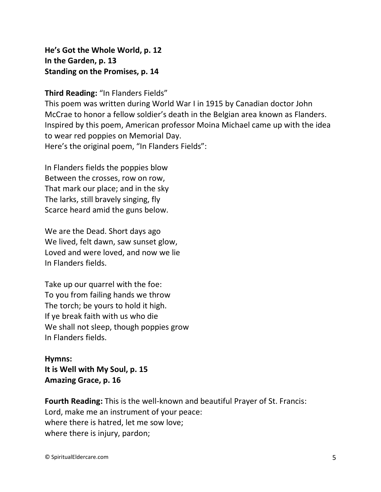**He's Got the Whole World, p. 12 In the Garden, p. 13 Standing on the Promises, p. 14**

**Third Reading:** "In Flanders Fields"

This poem was written during World War I in 1915 by Canadian doctor John McCrae to honor a fellow soldier's death in the Belgian area known as Flanders. Inspired by this poem, American professor Moina Michael came up with the idea to wear red poppies on Memorial Day. Here's the original poem, "In Flanders Fields":

In Flanders fields the poppies blow Between the crosses, row on row, That mark our place; and in the sky The larks, still bravely singing, fly Scarce heard amid the guns below.

We are the Dead. Short days ago We lived, felt dawn, saw sunset glow, Loved and were loved, and now we lie In Flanders fields.

Take up our quarrel with the foe: To you from failing hands we throw The torch; be yours to hold it high. If ye break faith with us who die We shall not sleep, though poppies grow In Flanders fields.

**Hymns: It is Well with My Soul, p. 15 Amazing Grace, p. 16**

**Fourth Reading:** This is the well-known and beautiful Prayer of St. Francis: Lord, make me an instrument of your peace: where there is hatred, let me sow love; where there is injury, pardon;